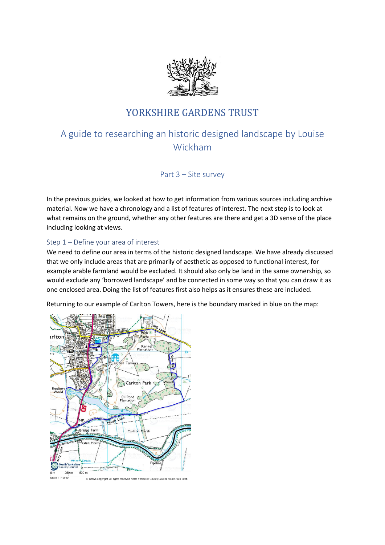

# YORKSHIRE GARDENS TRUST

# A guide to researching an historic designed landscape by Louise Wickham

Part 3 – Site survey

In the previous guides, we looked at how to get information from various sources including archive material. Now we have a chronology and a list of features of interest. The next step is to look at what remains on the ground, whether any other features are there and get a 3D sense of the place including looking at views.

# Step 1 – Define your area of interest

We need to define our area in terms of the historic designed landscape. We have already discussed that we only include areas that are primarily of aesthetic as opposed to functional interest, for example arable farmland would be excluded. It should also only be land in the same ownership, so would exclude any 'borrowed landscape' and be connected in some way so that you can draw it as one enclosed area. Doing the list of features first also helps as it ensures these are included.

Returning to our example of Carlton Towers, here is the boundary marked in blue on the map:

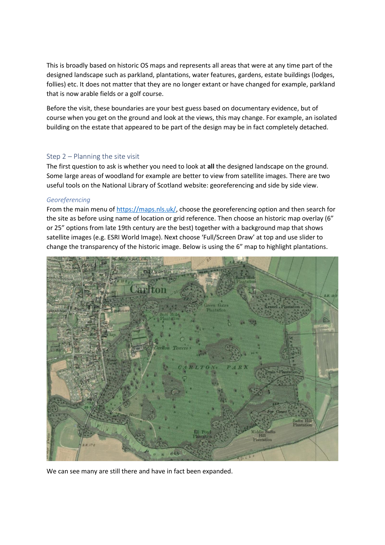This is broadly based on historic OS maps and represents all areas that were at any time part of the designed landscape such as parkland, plantations, water features, gardens, estate buildings (lodges, follies) etc. It does not matter that they are no longer extant or have changed for example, parkland that is now arable fields or a golf course.

Before the visit, these boundaries are your best guess based on documentary evidence, but of course when you get on the ground and look at the views, this may change. For example, an isolated building on the estate that appeared to be part of the design may be in fact completely detached.

# Step 2 – Planning the site visit

The first question to ask is whether you need to look at **all** the designed landscape on the ground. Some large areas of woodland for example are better to view from satellite images. There are two useful tools on the National Library of Scotland website: georeferencing and side by side view.

## *Georeferencing*

From the main menu of [https://maps.nls.uk/,](https://maps.nls.uk/) choose the georeferencing option and then search for the site as before using name of location or grid reference. Then choose an historic map overlay (6" or 25" options from late 19th century are the best) together with a background map that shows satellite images (e.g. ESRI World Image). Next choose 'Full/Screen Draw' at top and use slider to change the transparency of the historic image. Below is using the 6" map to highlight plantations.



We can see many are still there and have in fact been expanded.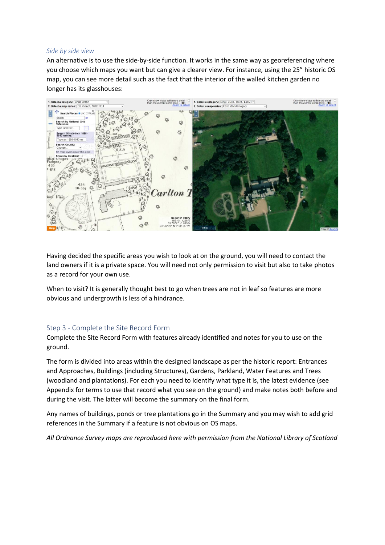## *Side by side view*

An alternative is to use the side-by-side function. It works in the same way as georeferencing where you choose which maps you want but can give a clearer view. For instance, using the 25" historic OS map, you can see more detail such as the fact that the interior of the walled kitchen garden no longer has its glasshouses:



Having decided the specific areas you wish to look at on the ground, you will need to contact the land owners if it is a private space. You will need not only permission to visit but also to take photos as a record for your own use.

When to visit? It is generally thought best to go when trees are not in leaf so features are more obvious and undergrowth is less of a hindrance.

# Step 3 - Complete the Site Record Form

Complete the Site Record Form with features already identified and notes for you to use on the ground.

The form is divided into areas within the designed landscape as per the historic report: Entrances and Approaches, Buildings (including Structures), Gardens, Parkland, Water Features and Trees (woodland and plantations). For each you need to identify what type it is, the latest evidence (see Appendix for terms to use that record what you see on the ground) and make notes both before and during the visit. The latter will become the summary on the final form.

Any names of buildings, ponds or tree plantations go in the Summary and you may wish to add grid references in the Summary if a feature is not obvious on OS maps.

*All Ordnance Survey maps are reproduced here with permission from the National Library of Scotland*